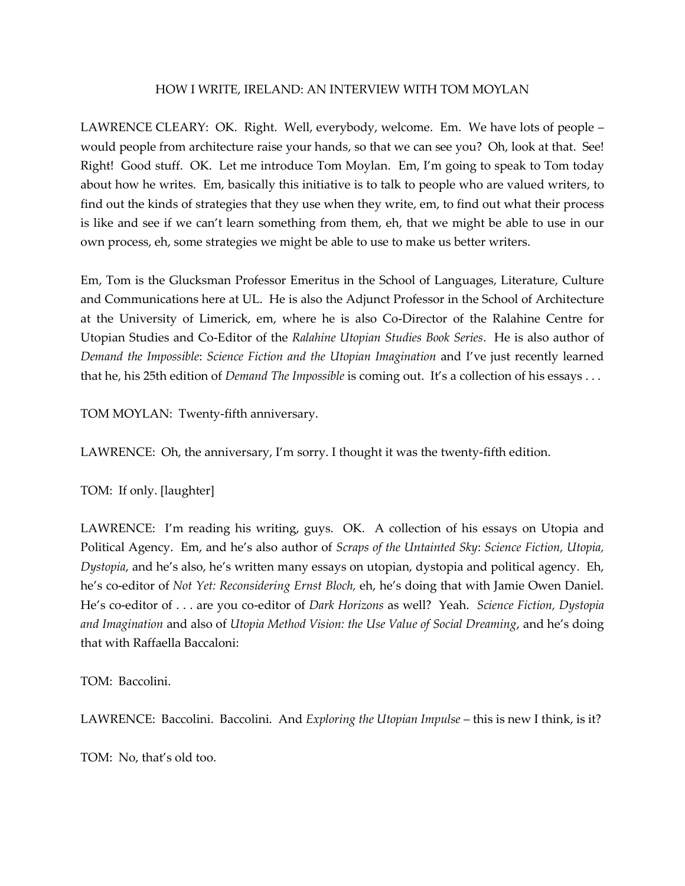#### HOW I WRITE, IRELAND: AN INTERVIEW WITH TOM MOYLAN

LAWRENCE CLEARY: OK. Right. Well, everybody, welcome. Em. We have lots of people – would people from architecture raise your hands, so that we can see you? Oh, look at that. See! Right! Good stuff. OK. Let me introduce Tom Moylan. Em, I'm going to speak to Tom today about how he writes. Em, basically this initiative is to talk to people who are valued writers, to find out the kinds of strategies that they use when they write, em, to find out what their process is like and see if we can't learn something from them, eh, that we might be able to use in our own process, eh, some strategies we might be able to use to make us better writers.

Em, Tom is the Glucksman Professor Emeritus in the School of Languages, Literature, Culture and Communications here at UL. He is also the Adjunct Professor in the School of Architecture at the University of Limerick, em, where he is also Co-Director of the Ralahine Centre for Utopian Studies and Co-Editor of the *Ralahine Utopian Studies Book Series*. He is also author of *Demand the Impossible*: *Science Fiction and the Utopian Imagination* and I've just recently learned that he, his 25th edition of *Demand The Impossible* is coming out. It's a collection of his essays . . .

TOM MOYLAN: Twenty-fifth anniversary.

LAWRENCE: Oh, the anniversary, I'm sorry. I thought it was the twenty-fifth edition.

TOM: If only. [laughter]

LAWRENCE: I'm reading his writing, guys. OK. A collection of his essays on Utopia and Political Agency. Em, and he's also author of *Scraps of the Untainted Sky*: *Science Fiction, Utopia, Dystopia*, and he's also, he's written many essays on utopian, dystopia and political agency. Eh, he's co-editor of *Not Yet: Reconsidering Ernst Bloch,* eh, he's doing that with Jamie Owen Daniel. He's co-editor of . . . are you co-editor of *Dark Horizons* as well? Yeah. *Science Fiction, Dystopia and Imagination* and also of *Utopia Method Vision: the Use Value of Social Dreaming*, and he's doing that with Raffaella Baccaloni:

TOM: Baccolini.

LAWRENCE: Baccolini. Baccolini. And *Exploring the Utopian Impulse* – this is new I think, is it?

TOM: No, that's old too.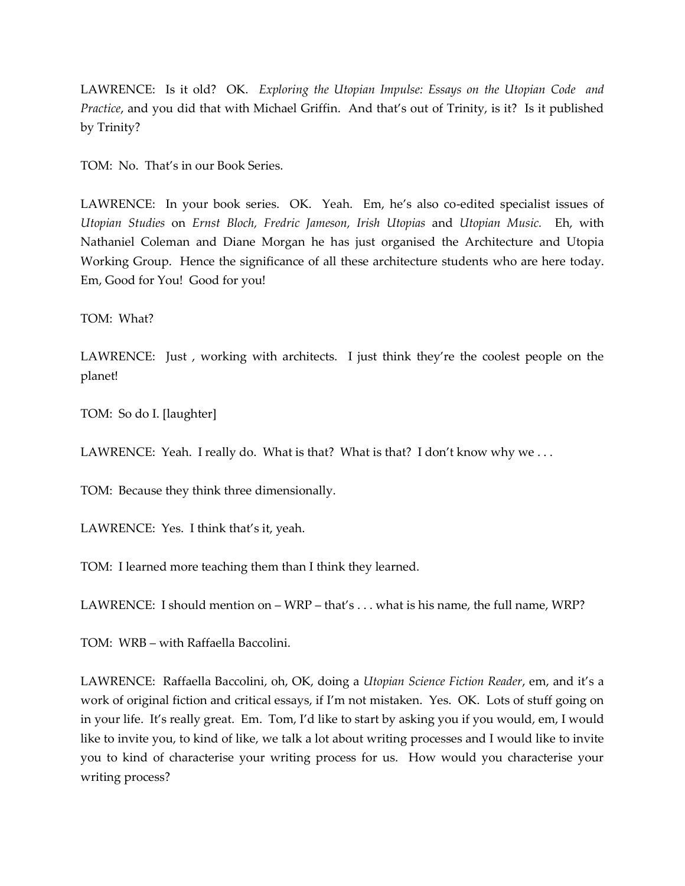LAWRENCE: Is it old? OK. *Exploring the Utopian Impulse: Essays on the Utopian Code and Practice*, and you did that with Michael Griffin. And that's out of Trinity, is it? Is it published by Trinity?

TOM: No. That's in our Book Series.

LAWRENCE: In your book series. OK. Yeah. Em, he's also co-edited specialist issues of *Utopian Studies* on *Ernst Bloch, Fredric Jameson, Irish Utopias* and *Utopian Music.* Eh, with Nathaniel Coleman and Diane Morgan he has just organised the Architecture and Utopia Working Group. Hence the significance of all these architecture students who are here today. Em, Good for You! Good for you!

TOM: What?

LAWRENCE: Just, working with architects. I just think they're the coolest people on the planet!

TOM: So do I. [laughter]

LAWRENCE: Yeah. I really do. What is that? What is that? I don't know why we ...

TOM: Because they think three dimensionally.

LAWRENCE: Yes. I think that's it, yeah.

TOM: I learned more teaching them than I think they learned.

LAWRENCE: I should mention on – WRP – that's . . . what is his name, the full name, WRP?

TOM: WRB – with Raffaella Baccolini.

LAWRENCE: Raffaella Baccolini, oh, OK, doing a *Utopian Science Fiction Reader*, em, and it's a work of original fiction and critical essays, if I'm not mistaken. Yes. OK. Lots of stuff going on in your life. It's really great. Em. Tom, I'd like to start by asking you if you would, em, I would like to invite you, to kind of like, we talk a lot about writing processes and I would like to invite you to kind of characterise your writing process for us. How would you characterise your writing process?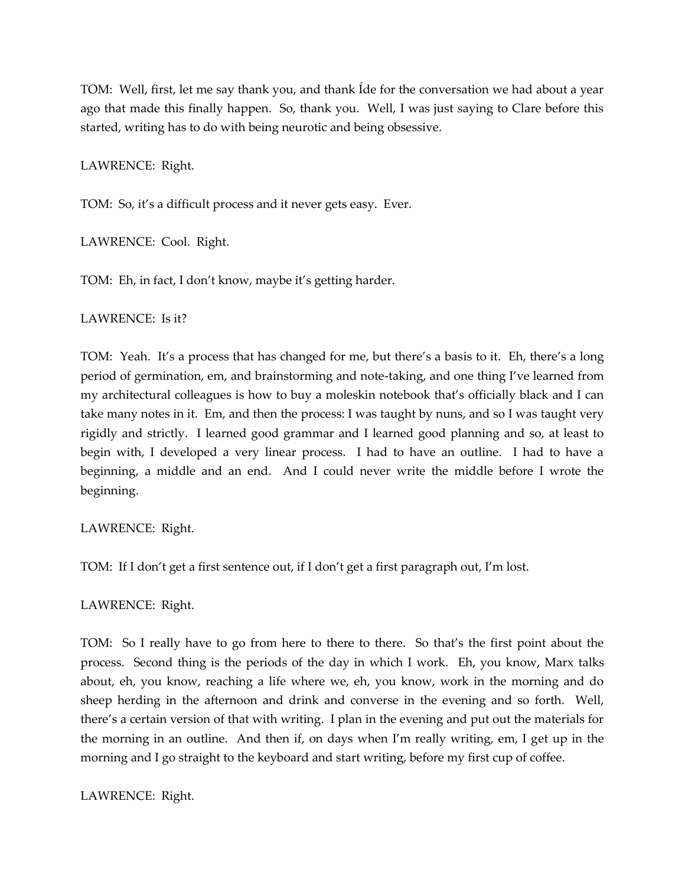TOM: Well, first, let me say thank you, and thank Íde for the conversation we had about a year ago that made this finally happen. So, thank you. Well, I was just saying to Clare before this started, writing has to do with being neurotic and being obsessive.

LAWRENCE: Right.

TOM: So, it's a difficult process and it never gets easy. Ever.

LAWRENCE: Cool. Right.

TOM: Eh, in fact, I don't know, maybe it's getting harder.

LAWRENCE: Is it?

TOM: Yeah. It's a process that has changed for me, but there's a basis to it. Eh, there's a long period of germination, em, and brainstorming and note-taking, and one thing I've learned from my architectural colleagues is how to buy a moleskin notebook that's officially black and I can take many notes in it. Em, and then the process: I was taught by nuns, and so I was taught very rigidly and strictly. I learned good grammar and I learned good planning and so, at least to begin with, I developed a very linear process. I had to have an outline. I had to have a beginning, a middle and an end. And I could never write the middle before I wrote the beginning.

LAWRENCE: Right.

TOM: If I don't get a first sentence out, if I don't get a first paragraph out, I'm lost.

LAWRENCE: Right.

TOM: So I really have to go from here to there to there. So that's the first point about the process. Second thing is the periods of the day in which I work. Eh, you know, Marx talks about, eh, you know, reaching a life where we, eh, you know, work in the morning and do sheep herding in the afternoon and drink and converse in the evening and so forth. Well, there's a certain version of that with writing. I plan in the evening and put out the materials for the morning in an outline. And then if, on days when I'm really writing, em, I get up in the morning and I go straight to the keyboard and start writing, before my first cup of coffee.

LAWRENCE: Right.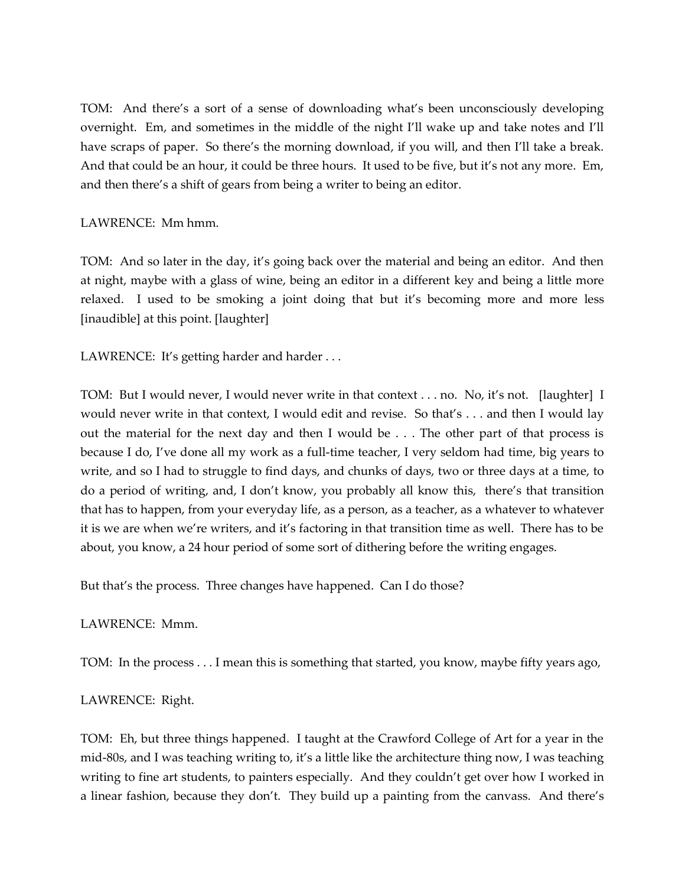TOM: And there's a sort of a sense of downloading what's been unconsciously developing overnight. Em, and sometimes in the middle of the night I'll wake up and take notes and I'll have scraps of paper. So there's the morning download, if you will, and then I'll take a break. And that could be an hour, it could be three hours. It used to be five, but it's not any more. Em, and then there's a shift of gears from being a writer to being an editor.

## LAWRENCE: Mm hmm.

TOM: And so later in the day, it's going back over the material and being an editor. And then at night, maybe with a glass of wine, being an editor in a different key and being a little more relaxed. I used to be smoking a joint doing that but it's becoming more and more less [inaudible] at this point. [laughter]

LAWRENCE: It's getting harder and harder ...

TOM: But I would never, I would never write in that context . . . no. No, it's not. [laughter] I would never write in that context, I would edit and revise. So that's . . . and then I would lay out the material for the next day and then I would be . . . The other part of that process is because I do, I've done all my work as a full-time teacher, I very seldom had time, big years to write, and so I had to struggle to find days, and chunks of days, two or three days at a time, to do a period of writing, and, I don't know, you probably all know this, there's that transition that has to happen, from your everyday life, as a person, as a teacher, as a whatever to whatever it is we are when we're writers, and it's factoring in that transition time as well. There has to be about, you know, a 24 hour period of some sort of dithering before the writing engages.

But that's the process. Three changes have happened. Can I do those?

### LAWRENCE: Mmm.

TOM: In the process . . . I mean this is something that started, you know, maybe fifty years ago,

# LAWRENCE: Right.

TOM: Eh, but three things happened. I taught at the Crawford College of Art for a year in the mid-80s, and I was teaching writing to, it's a little like the architecture thing now, I was teaching writing to fine art students, to painters especially. And they couldn't get over how I worked in a linear fashion, because they don't. They build up a painting from the canvass. And there's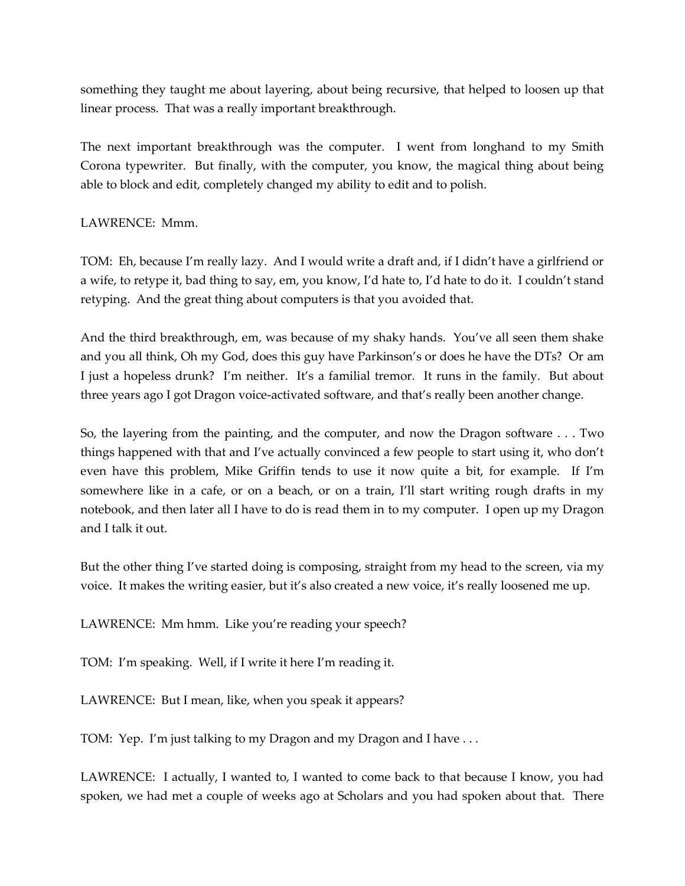something they taught me about layering, about being recursive, that helped to loosen up that linear process. That was a really important breakthrough.

The next important breakthrough was the computer. I went from longhand to my Smith Corona typewriter. But finally, with the computer, you know, the magical thing about being able to block and edit, completely changed my ability to edit and to polish.

# LAWRENCE: Mmm.

TOM: Eh, because I'm really lazy. And I would write a draft and, if I didn't have a girlfriend or a wife, to retype it, bad thing to say, em, you know, I'd hate to, I'd hate to do it. I couldn't stand retyping. And the great thing about computers is that you avoided that.

And the third breakthrough, em, was because of my shaky hands. You've all seen them shake and you all think, Oh my God, does this guy have Parkinson's or does he have the DTs? Or am I just a hopeless drunk? I'm neither. It's a familial tremor. It runs in the family. But about three years ago I got Dragon voice-activated software, and that's really been another change.

So, the layering from the painting, and the computer, and now the Dragon software . . . Two things happened with that and I've actually convinced a few people to start using it, who don't even have this problem, Mike Griffin tends to use it now quite a bit, for example. If I'm somewhere like in a cafe, or on a beach, or on a train, I'll start writing rough drafts in my notebook, and then later all I have to do is read them in to my computer. I open up my Dragon and I talk it out.

But the other thing I've started doing is composing, straight from my head to the screen, via my voice. It makes the writing easier, but it's also created a new voice, it's really loosened me up.

LAWRENCE: Mm hmm. Like you're reading your speech?

TOM: I'm speaking. Well, if I write it here I'm reading it.

LAWRENCE: But I mean, like, when you speak it appears?

TOM: Yep. I'm just talking to my Dragon and my Dragon and I have . . .

LAWRENCE: I actually, I wanted to, I wanted to come back to that because I know, you had spoken, we had met a couple of weeks ago at Scholars and you had spoken about that. There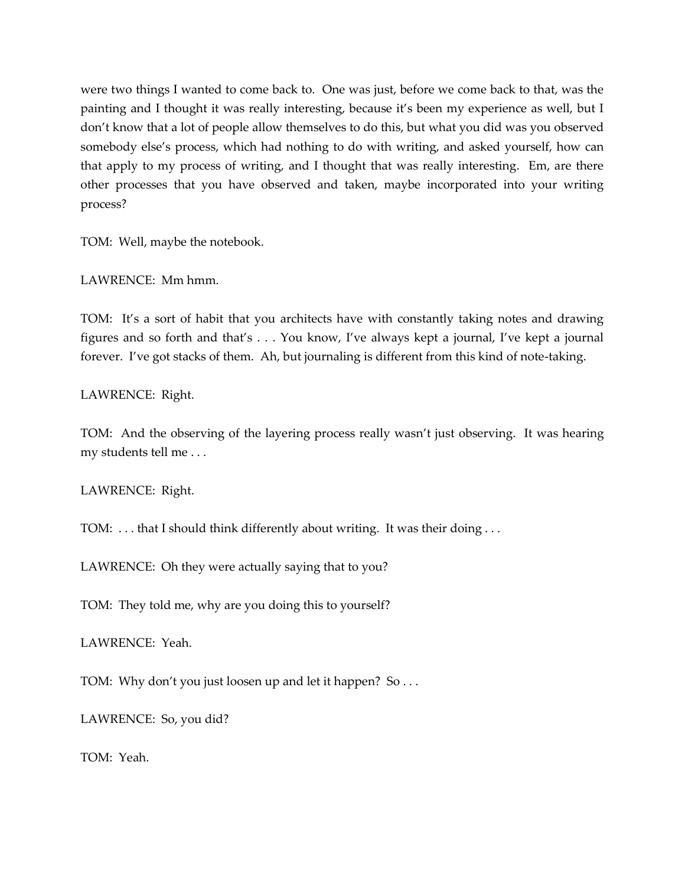were two things I wanted to come back to. One was just, before we come back to that, was the painting and I thought it was really interesting, because it's been my experience as well, but I don't know that a lot of people allow themselves to do this, but what you did was you observed somebody else's process, which had nothing to do with writing, and asked yourself, how can that apply to my process of writing, and I thought that was really interesting. Em, are there other processes that you have observed and taken, maybe incorporated into your writing process?

TOM: Well, maybe the notebook.

LAWRENCE: Mm hmm.

TOM: It's a sort of habit that you architects have with constantly taking notes and drawing figures and so forth and that's . . . You know, I've always kept a journal, I've kept a journal forever. I've got stacks of them. Ah, but journaling is different from this kind of note-taking.

LAWRENCE: Right.

TOM: And the observing of the layering process really wasn't just observing. It was hearing my students tell me . . .

LAWRENCE: Right.

TOM: . . . that I should think differently about writing. It was their doing . . .

LAWRENCE: Oh they were actually saying that to you?

TOM: They told me, why are you doing this to yourself?

LAWRENCE: Yeah.

TOM: Why don't you just loosen up and let it happen? So . . .

LAWRENCE: So, you did?

TOM: Yeah.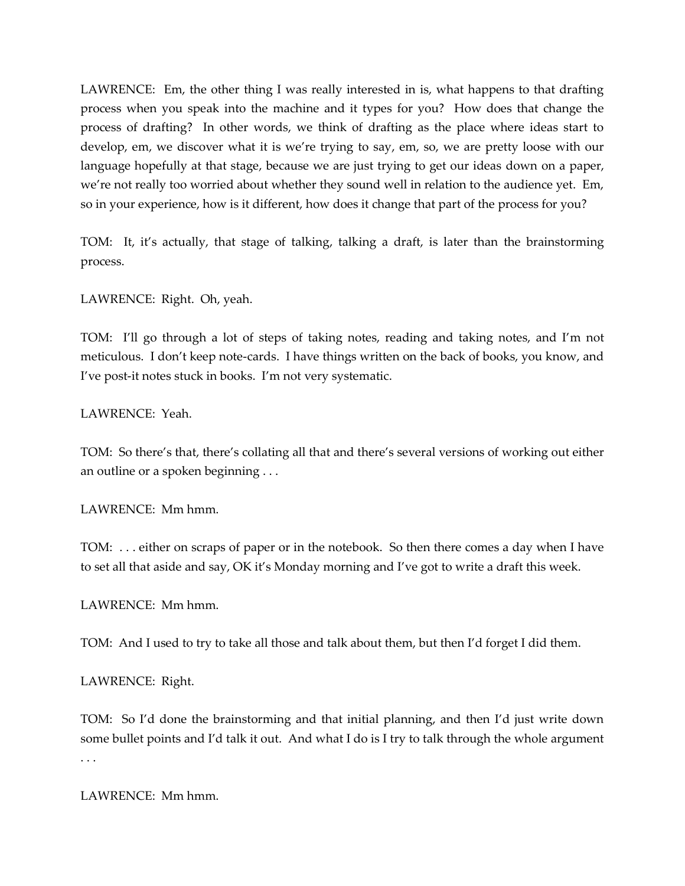LAWRENCE: Em, the other thing I was really interested in is, what happens to that drafting process when you speak into the machine and it types for you? How does that change the process of drafting? In other words, we think of drafting as the place where ideas start to develop, em, we discover what it is we're trying to say, em, so, we are pretty loose with our language hopefully at that stage, because we are just trying to get our ideas down on a paper, we're not really too worried about whether they sound well in relation to the audience yet. Em, so in your experience, how is it different, how does it change that part of the process for you?

TOM: It, it's actually, that stage of talking, talking a draft, is later than the brainstorming process.

LAWRENCE: Right. Oh, yeah.

TOM: I'll go through a lot of steps of taking notes, reading and taking notes, and I'm not meticulous. I don't keep note-cards. I have things written on the back of books, you know, and I've post-it notes stuck in books. I'm not very systematic.

LAWRENCE: Yeah.

TOM: So there's that, there's collating all that and there's several versions of working out either an outline or a spoken beginning . . .

LAWRENCE: Mm hmm.

TOM: . . . either on scraps of paper or in the notebook. So then there comes a day when I have to set all that aside and say, OK it's Monday morning and I've got to write a draft this week.

LAWRENCE: Mm hmm.

TOM: And I used to try to take all those and talk about them, but then I'd forget I did them.

LAWRENCE: Right.

TOM: So I'd done the brainstorming and that initial planning, and then I'd just write down some bullet points and I'd talk it out. And what I do is I try to talk through the whole argument . . .

LAWRENCE: Mm hmm.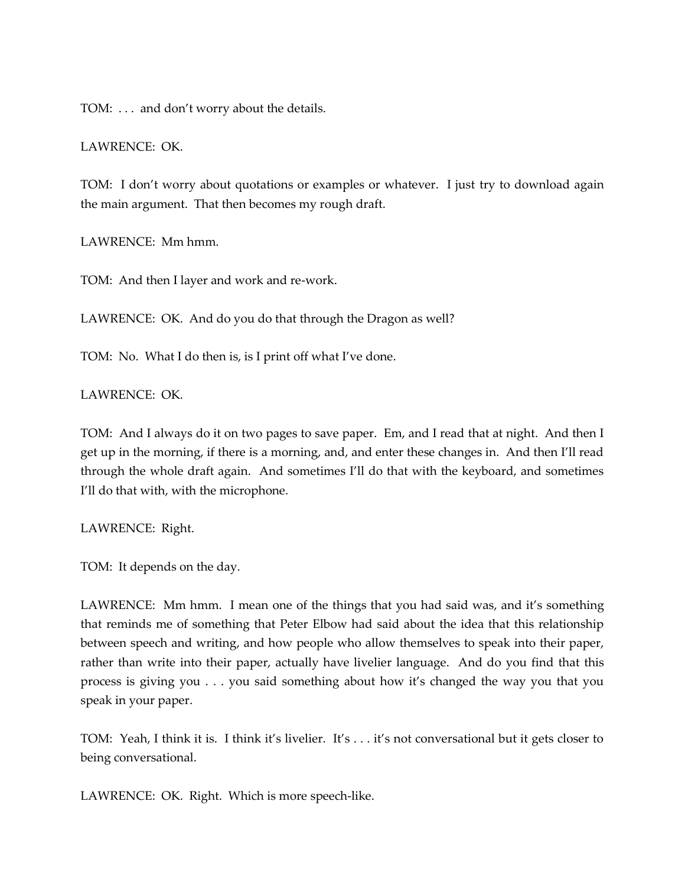TOM: . . . and don't worry about the details.

### LAWRENCE: OK.

TOM: I don't worry about quotations or examples or whatever. I just try to download again the main argument. That then becomes my rough draft.

LAWRENCE: Mm hmm.

TOM: And then I layer and work and re-work.

LAWRENCE: OK. And do you do that through the Dragon as well?

TOM: No. What I do then is, is I print off what I've done.

LAWRENCE: OK.

TOM: And I always do it on two pages to save paper. Em, and I read that at night. And then I get up in the morning, if there is a morning, and, and enter these changes in. And then I'll read through the whole draft again. And sometimes I'll do that with the keyboard, and sometimes I'll do that with, with the microphone.

LAWRENCE: Right.

TOM: It depends on the day.

LAWRENCE: Mm hmm. I mean one of the things that you had said was, and it's something that reminds me of something that Peter Elbow had said about the idea that this relationship between speech and writing, and how people who allow themselves to speak into their paper, rather than write into their paper, actually have livelier language. And do you find that this process is giving you . . . you said something about how it's changed the way you that you speak in your paper.

TOM: Yeah, I think it is. I think it's livelier. It's . . . it's not conversational but it gets closer to being conversational.

LAWRENCE: OK. Right. Which is more speech-like.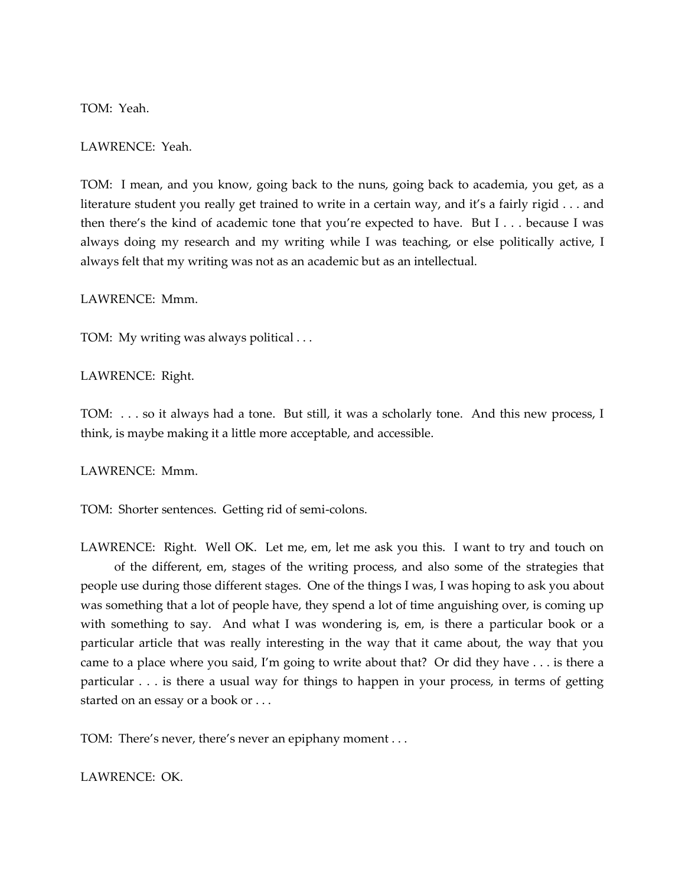TOM: Yeah.

LAWRENCE: Yeah.

TOM: I mean, and you know, going back to the nuns, going back to academia, you get, as a literature student you really get trained to write in a certain way, and it's a fairly rigid . . . and then there's the kind of academic tone that you're expected to have. But I . . . because I was always doing my research and my writing while I was teaching, or else politically active, I always felt that my writing was not as an academic but as an intellectual.

LAWRENCE: Mmm.

TOM: My writing was always political . . .

LAWRENCE: Right.

TOM: . . . so it always had a tone. But still, it was a scholarly tone. And this new process, I think, is maybe making it a little more acceptable, and accessible.

LAWRENCE: Mmm.

TOM: Shorter sentences. Getting rid of semi-colons.

LAWRENCE: Right. Well OK. Let me, em, let me ask you this. I want to try and touch on of the different, em, stages of the writing process, and also some of the strategies that people use during those different stages. One of the things I was, I was hoping to ask you about was something that a lot of people have, they spend a lot of time anguishing over, is coming up with something to say. And what I was wondering is, em, is there a particular book or a particular article that was really interesting in the way that it came about, the way that you came to a place where you said, I'm going to write about that? Or did they have . . . is there a particular . . . is there a usual way for things to happen in your process, in terms of getting started on an essay or a book or . . .

TOM: There's never, there's never an epiphany moment . . .

LAWRENCE: OK.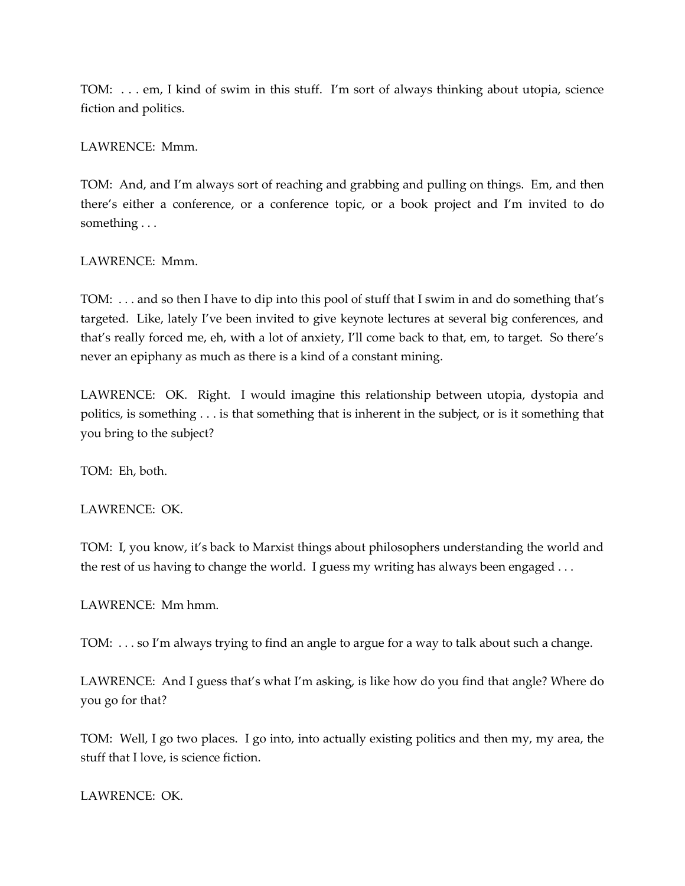TOM: . . . em, I kind of swim in this stuff. I'm sort of always thinking about utopia, science fiction and politics.

## LAWRENCE: Mmm.

TOM: And, and I'm always sort of reaching and grabbing and pulling on things. Em, and then there's either a conference, or a conference topic, or a book project and I'm invited to do something . . .

## LAWRENCE: Mmm.

TOM: . . . and so then I have to dip into this pool of stuff that I swim in and do something that's targeted. Like, lately I've been invited to give keynote lectures at several big conferences, and that's really forced me, eh, with a lot of anxiety, I'll come back to that, em, to target. So there's never an epiphany as much as there is a kind of a constant mining.

LAWRENCE: OK. Right. I would imagine this relationship between utopia, dystopia and politics, is something . . . is that something that is inherent in the subject, or is it something that you bring to the subject?

TOM: Eh, both.

### LAWRENCE: OK.

TOM: I, you know, it's back to Marxist things about philosophers understanding the world and the rest of us having to change the world. I guess my writing has always been engaged . . .

LAWRENCE: Mm hmm.

TOM: . . . so I'm always trying to find an angle to argue for a way to talk about such a change.

LAWRENCE: And I guess that's what I'm asking, is like how do you find that angle? Where do you go for that?

TOM: Well, I go two places. I go into, into actually existing politics and then my, my area, the stuff that I love, is science fiction.

LAWRENCE: OK.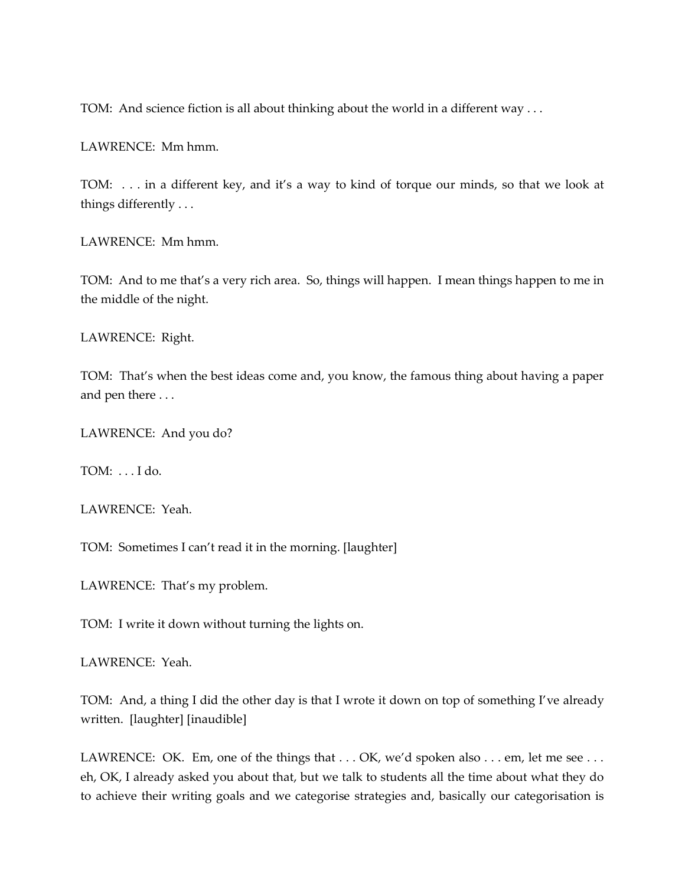TOM: And science fiction is all about thinking about the world in a different way . . .

LAWRENCE: Mm hmm.

TOM: . . . in a different key, and it's a way to kind of torque our minds, so that we look at things differently . . .

LAWRENCE: Mm hmm.

TOM: And to me that's a very rich area. So, things will happen. I mean things happen to me in the middle of the night.

LAWRENCE: Right.

TOM: That's when the best ideas come and, you know, the famous thing about having a paper and pen there . . .

LAWRENCE: And you do?

TOM: . . . I do.

LAWRENCE: Yeah.

TOM: Sometimes I can't read it in the morning. [laughter]

LAWRENCE: That's my problem.

TOM: I write it down without turning the lights on.

LAWRENCE: Yeah.

TOM: And, a thing I did the other day is that I wrote it down on top of something I've already written. [laughter] [inaudible]

LAWRENCE: OK. Em, one of the things that . . . OK, we'd spoken also . . . em, let me see . . . eh, OK, I already asked you about that, but we talk to students all the time about what they do to achieve their writing goals and we categorise strategies and, basically our categorisation is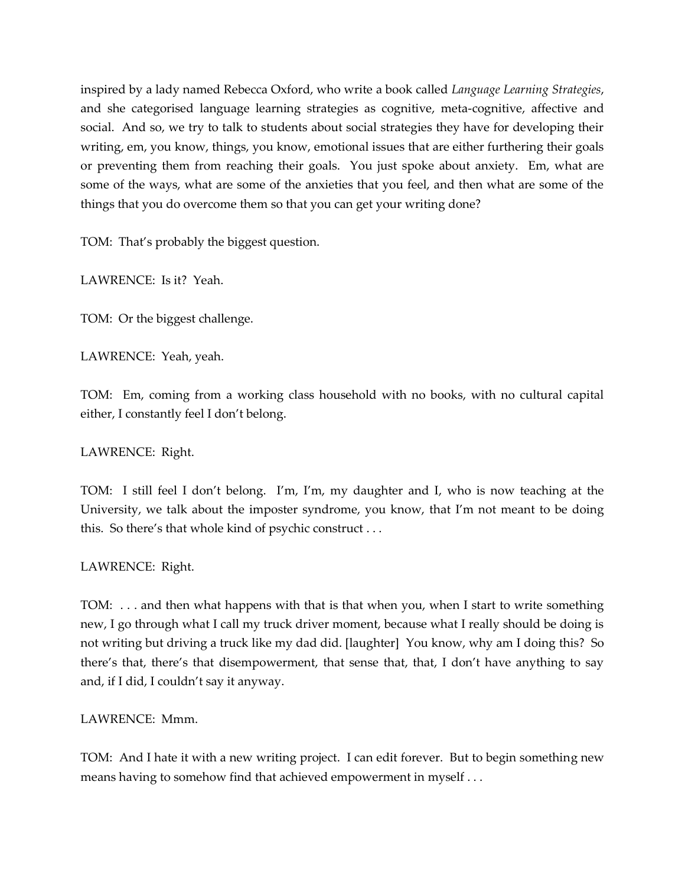inspired by a lady named Rebecca Oxford, who write a book called *Language Learning Strategies*, and she categorised language learning strategies as cognitive, meta-cognitive, affective and social. And so, we try to talk to students about social strategies they have for developing their writing, em, you know, things, you know, emotional issues that are either furthering their goals or preventing them from reaching their goals. You just spoke about anxiety. Em, what are some of the ways, what are some of the anxieties that you feel, and then what are some of the things that you do overcome them so that you can get your writing done?

TOM: That's probably the biggest question.

LAWRENCE: Is it? Yeah.

TOM: Or the biggest challenge.

LAWRENCE: Yeah, yeah.

TOM: Em, coming from a working class household with no books, with no cultural capital either, I constantly feel I don't belong.

LAWRENCE: Right.

TOM: I still feel I don't belong. I'm, I'm, my daughter and I, who is now teaching at the University, we talk about the imposter syndrome, you know, that I'm not meant to be doing this. So there's that whole kind of psychic construct . . .

LAWRENCE: Right.

TOM: . . . and then what happens with that is that when you, when I start to write something new, I go through what I call my truck driver moment, because what I really should be doing is not writing but driving a truck like my dad did. [laughter] You know, why am I doing this? So there's that, there's that disempowerment, that sense that, that, I don't have anything to say and, if I did, I couldn't say it anyway.

LAWRENCE: Mmm.

TOM: And I hate it with a new writing project. I can edit forever. But to begin something new means having to somehow find that achieved empowerment in myself . . .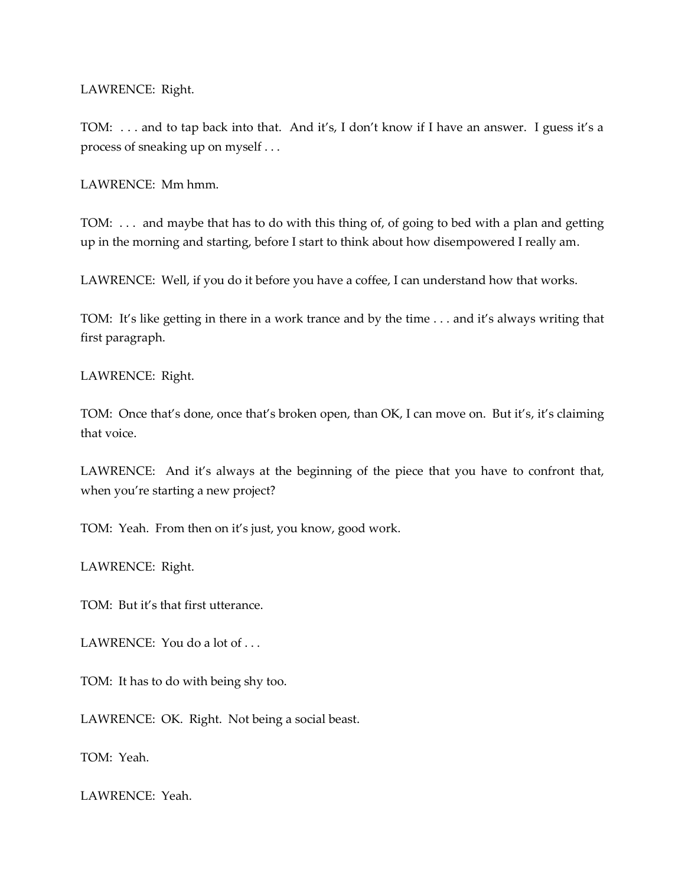LAWRENCE: Right.

TOM: . . . and to tap back into that. And it's, I don't know if I have an answer. I guess it's a process of sneaking up on myself . . .

LAWRENCE: Mm hmm.

TOM: . . . and maybe that has to do with this thing of, of going to bed with a plan and getting up in the morning and starting, before I start to think about how disempowered I really am.

LAWRENCE: Well, if you do it before you have a coffee, I can understand how that works.

TOM: It's like getting in there in a work trance and by the time . . . and it's always writing that first paragraph.

LAWRENCE: Right.

TOM: Once that's done, once that's broken open, than OK, I can move on. But it's, it's claiming that voice.

LAWRENCE: And it's always at the beginning of the piece that you have to confront that, when you're starting a new project?

TOM: Yeah. From then on it's just, you know, good work.

LAWRENCE: Right.

TOM: But it's that first utterance.

LAWRENCE: You do a lot of ...

TOM: It has to do with being shy too.

LAWRENCE: OK. Right. Not being a social beast.

TOM: Yeah.

LAWRENCE: Yeah.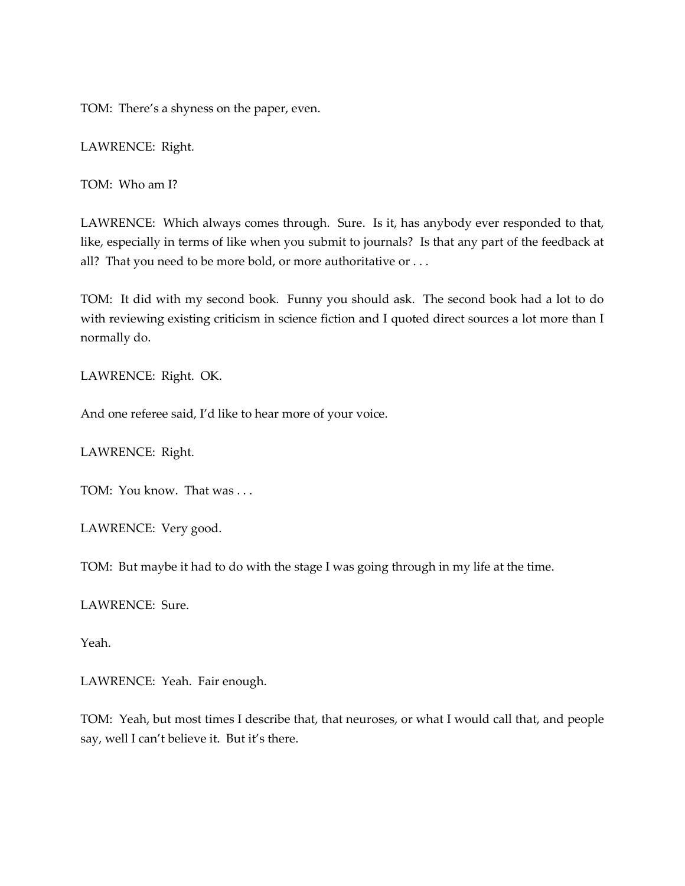TOM: There's a shyness on the paper, even.

LAWRENCE: Right.

TOM: Who am I?

LAWRENCE: Which always comes through. Sure. Is it, has anybody ever responded to that, like, especially in terms of like when you submit to journals? Is that any part of the feedback at all? That you need to be more bold, or more authoritative or ...

TOM: It did with my second book. Funny you should ask. The second book had a lot to do with reviewing existing criticism in science fiction and I quoted direct sources a lot more than I normally do.

LAWRENCE: Right. OK.

And one referee said, I'd like to hear more of your voice.

LAWRENCE: Right.

TOM: You know. That was . . .

LAWRENCE: Very good.

TOM: But maybe it had to do with the stage I was going through in my life at the time.

LAWRENCE: Sure.

Yeah.

LAWRENCE: Yeah. Fair enough.

TOM: Yeah, but most times I describe that, that neuroses, or what I would call that, and people say, well I can't believe it. But it's there.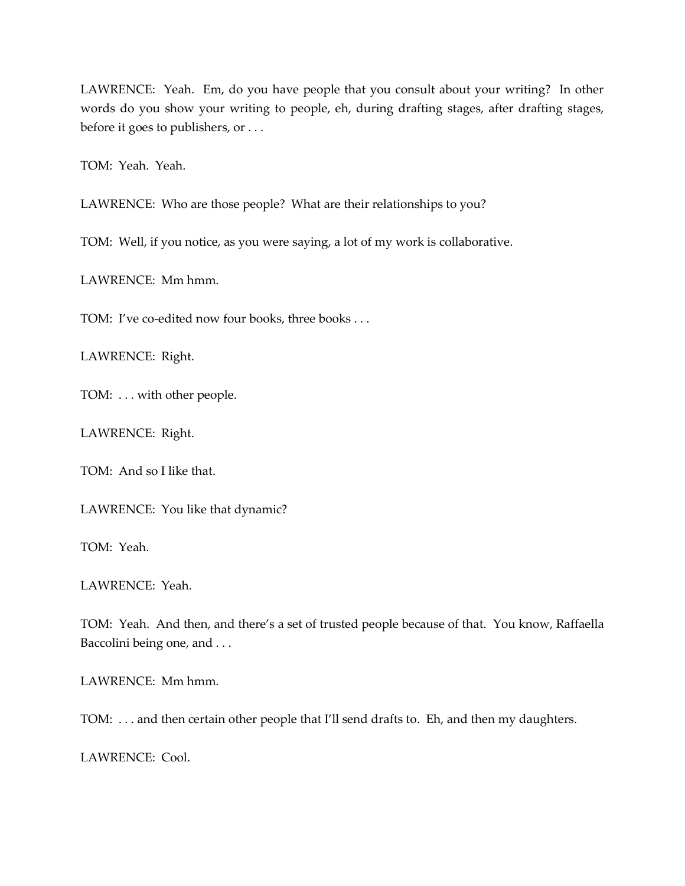LAWRENCE: Yeah. Em, do you have people that you consult about your writing? In other words do you show your writing to people, eh, during drafting stages, after drafting stages, before it goes to publishers, or . . .

TOM: Yeah. Yeah.

LAWRENCE: Who are those people? What are their relationships to you?

TOM: Well, if you notice, as you were saying, a lot of my work is collaborative.

LAWRENCE: Mm hmm.

TOM: I've co-edited now four books, three books . . .

LAWRENCE: Right.

TOM: . . . with other people.

LAWRENCE: Right.

TOM: And so I like that.

LAWRENCE: You like that dynamic?

TOM: Yeah.

LAWRENCE: Yeah.

TOM: Yeah. And then, and there's a set of trusted people because of that. You know, Raffaella Baccolini being one, and . . .

LAWRENCE: Mm hmm.

TOM: . . . and then certain other people that I'll send drafts to. Eh, and then my daughters.

LAWRENCE: Cool.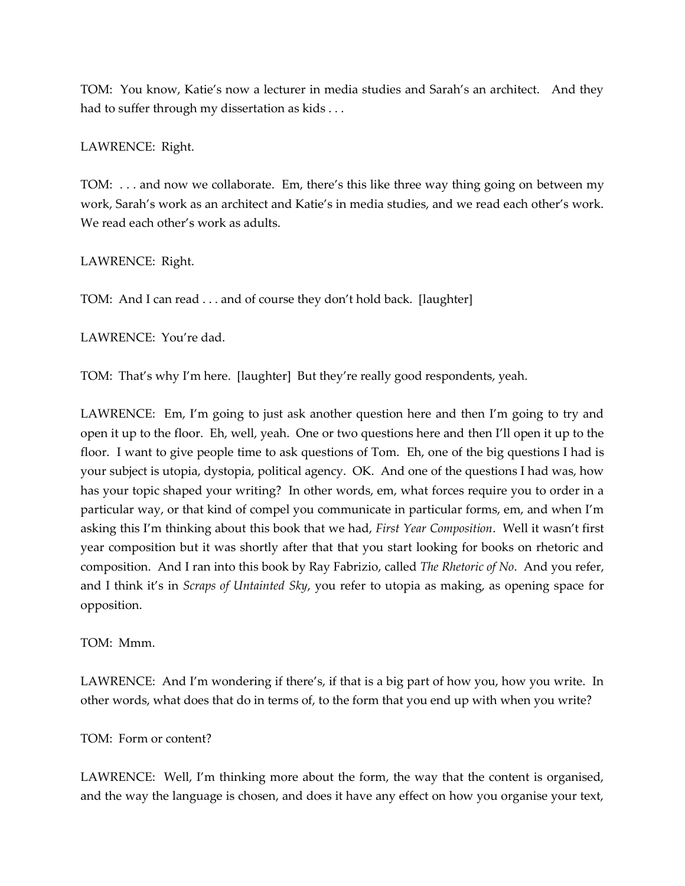TOM: You know, Katie's now a lecturer in media studies and Sarah's an architect. And they had to suffer through my dissertation as kids . . .

LAWRENCE: Right.

TOM: . . . and now we collaborate. Em, there's this like three way thing going on between my work, Sarah's work as an architect and Katie's in media studies, and we read each other's work. We read each other's work as adults.

LAWRENCE: Right.

TOM: And I can read . . . and of course they don't hold back. [laughter]

LAWRENCE: You're dad.

TOM: That's why I'm here. [laughter] But they're really good respondents, yeah.

LAWRENCE: Em, I'm going to just ask another question here and then I'm going to try and open it up to the floor. Eh, well, yeah. One or two questions here and then I'll open it up to the floor. I want to give people time to ask questions of Tom. Eh, one of the big questions I had is your subject is utopia, dystopia, political agency. OK. And one of the questions I had was, how has your topic shaped your writing? In other words, em, what forces require you to order in a particular way, or that kind of compel you communicate in particular forms, em, and when I'm asking this I'm thinking about this book that we had, *First Year Composition*. Well it wasn't first year composition but it was shortly after that that you start looking for books on rhetoric and composition. And I ran into this book by Ray Fabrizio, called *The Rhetoric of No*. And you refer, and I think it's in *Scraps of Untainted Sky*, you refer to utopia as making, as opening space for opposition.

TOM: Mmm.

LAWRENCE: And I'm wondering if there's, if that is a big part of how you, how you write. In other words, what does that do in terms of, to the form that you end up with when you write?

### TOM: Form or content?

LAWRENCE: Well, I'm thinking more about the form, the way that the content is organised, and the way the language is chosen, and does it have any effect on how you organise your text,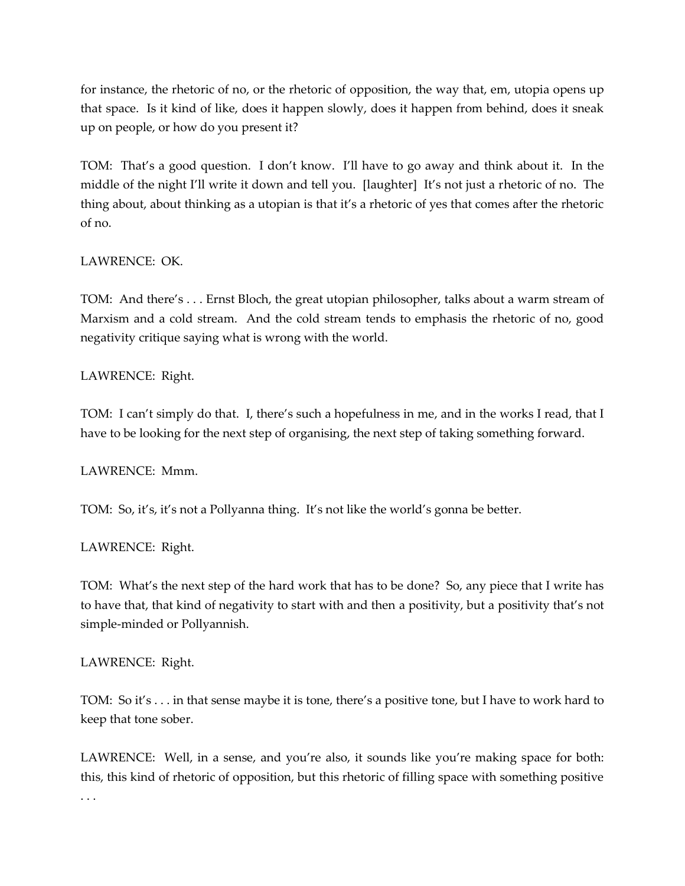for instance, the rhetoric of no, or the rhetoric of opposition, the way that, em, utopia opens up that space. Is it kind of like, does it happen slowly, does it happen from behind, does it sneak up on people, or how do you present it?

TOM: That's a good question. I don't know. I'll have to go away and think about it. In the middle of the night I'll write it down and tell you. [laughter] It's not just a rhetoric of no. The thing about, about thinking as a utopian is that it's a rhetoric of yes that comes after the rhetoric of no.

# LAWRENCE: OK.

TOM: And there's . . . Ernst Bloch, the great utopian philosopher, talks about a warm stream of Marxism and a cold stream. And the cold stream tends to emphasis the rhetoric of no, good negativity critique saying what is wrong with the world.

## LAWRENCE: Right.

TOM: I can't simply do that. I, there's such a hopefulness in me, and in the works I read, that I have to be looking for the next step of organising, the next step of taking something forward.

### LAWRENCE: Mmm.

TOM: So, it's, it's not a Pollyanna thing. It's not like the world's gonna be better.

# LAWRENCE: Right.

TOM: What's the next step of the hard work that has to be done? So, any piece that I write has to have that, that kind of negativity to start with and then a positivity, but a positivity that's not simple-minded or Pollyannish.

### LAWRENCE: Right.

TOM: So it's . . . in that sense maybe it is tone, there's a positive tone, but I have to work hard to keep that tone sober.

LAWRENCE: Well, in a sense, and you're also, it sounds like you're making space for both: this, this kind of rhetoric of opposition, but this rhetoric of filling space with something positive . . .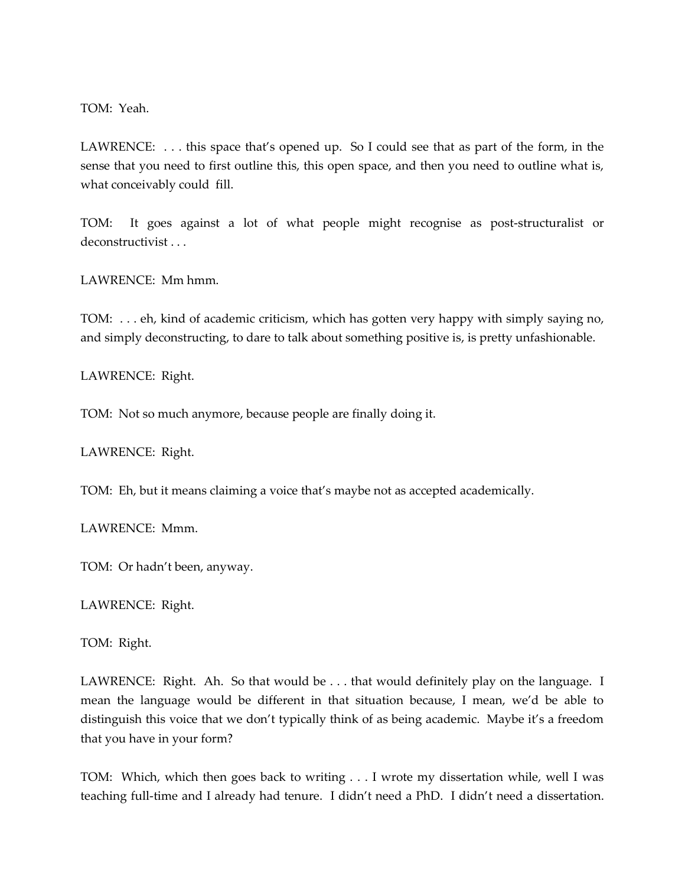TOM: Yeah.

LAWRENCE: ... this space that's opened up. So I could see that as part of the form, in the sense that you need to first outline this, this open space, and then you need to outline what is, what conceivably could fill.

TOM: It goes against a lot of what people might recognise as post-structuralist or deconstructivist . . .

LAWRENCE: Mm hmm.

TOM: . . . eh, kind of academic criticism, which has gotten very happy with simply saying no, and simply deconstructing, to dare to talk about something positive is, is pretty unfashionable.

LAWRENCE: Right.

TOM: Not so much anymore, because people are finally doing it.

LAWRENCE: Right.

TOM: Eh, but it means claiming a voice that's maybe not as accepted academically.

LAWRENCE: Mmm.

TOM: Or hadn't been, anyway.

LAWRENCE: Right.

TOM: Right.

LAWRENCE: Right. Ah. So that would be . . . that would definitely play on the language. I mean the language would be different in that situation because, I mean, we'd be able to distinguish this voice that we don't typically think of as being academic. Maybe it's a freedom that you have in your form?

TOM: Which, which then goes back to writing . . . I wrote my dissertation while, well I was teaching full-time and I already had tenure. I didn't need a PhD. I didn't need a dissertation.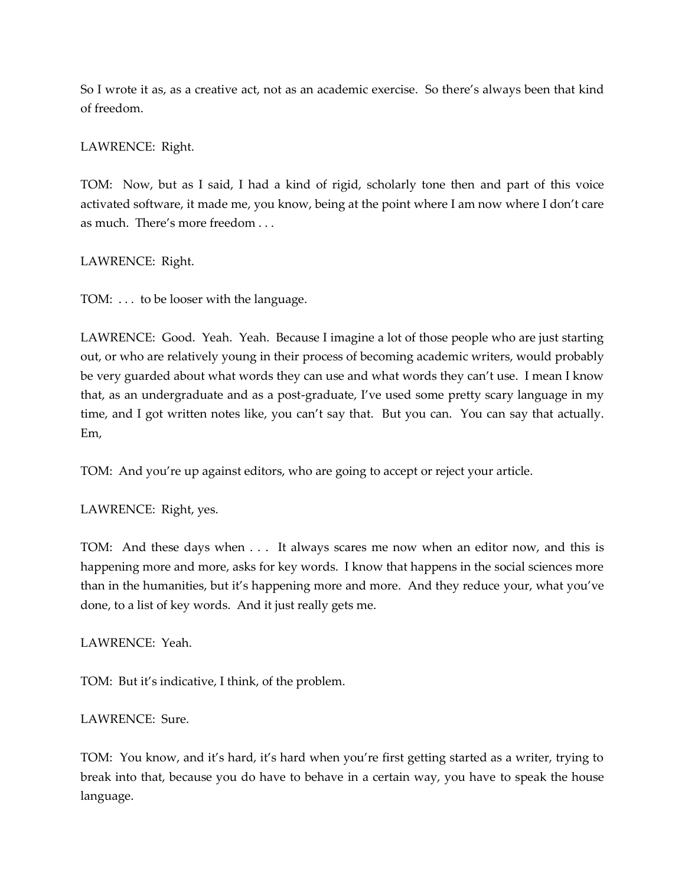So I wrote it as, as a creative act, not as an academic exercise. So there's always been that kind of freedom.

## LAWRENCE: Right.

TOM: Now, but as I said, I had a kind of rigid, scholarly tone then and part of this voice activated software, it made me, you know, being at the point where I am now where I don't care as much. There's more freedom . . .

## LAWRENCE: Right.

TOM: . . . to be looser with the language.

LAWRENCE: Good. Yeah. Yeah. Because I imagine a lot of those people who are just starting out, or who are relatively young in their process of becoming academic writers, would probably be very guarded about what words they can use and what words they can't use. I mean I know that, as an undergraduate and as a post-graduate, I've used some pretty scary language in my time, and I got written notes like, you can't say that. But you can. You can say that actually. Em,

TOM: And you're up against editors, who are going to accept or reject your article.

### LAWRENCE: Right, yes.

TOM: And these days when . . . It always scares me now when an editor now, and this is happening more and more, asks for key words. I know that happens in the social sciences more than in the humanities, but it's happening more and more. And they reduce your, what you've done, to a list of key words. And it just really gets me.

### LAWRENCE: Yeah.

TOM: But it's indicative, I think, of the problem.

### LAWRENCE: Sure.

TOM: You know, and it's hard, it's hard when you're first getting started as a writer, trying to break into that, because you do have to behave in a certain way, you have to speak the house language.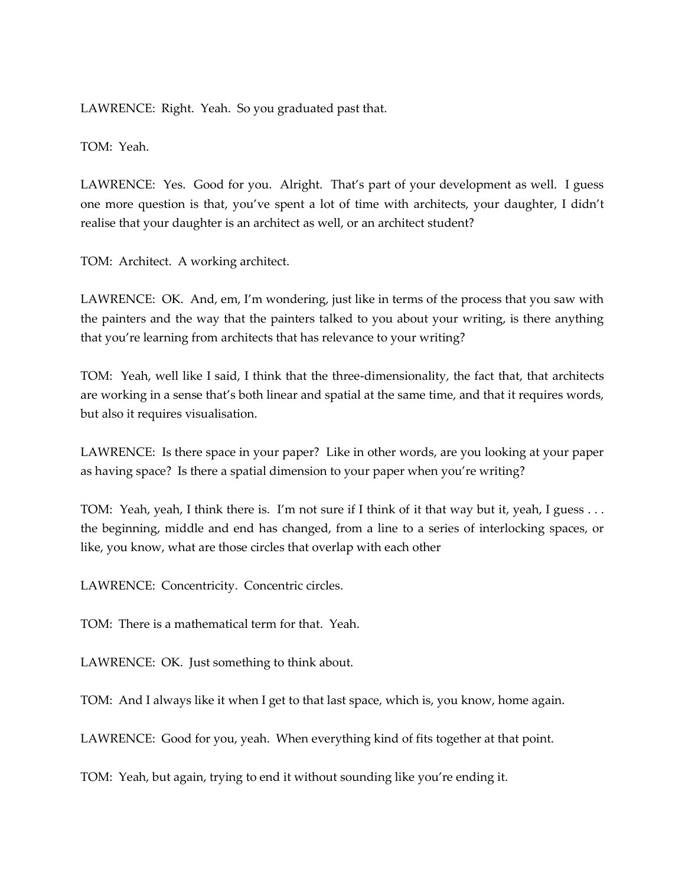LAWRENCE: Right. Yeah. So you graduated past that.

TOM: Yeah.

LAWRENCE: Yes. Good for you. Alright. That's part of your development as well. I guess one more question is that, you've spent a lot of time with architects, your daughter, I didn't realise that your daughter is an architect as well, or an architect student?

TOM: Architect. A working architect.

LAWRENCE: OK. And, em, I'm wondering, just like in terms of the process that you saw with the painters and the way that the painters talked to you about your writing, is there anything that you're learning from architects that has relevance to your writing?

TOM: Yeah, well like I said, I think that the three-dimensionality, the fact that, that architects are working in a sense that's both linear and spatial at the same time, and that it requires words, but also it requires visualisation.

LAWRENCE: Is there space in your paper? Like in other words, are you looking at your paper as having space? Is there a spatial dimension to your paper when you're writing?

TOM: Yeah, yeah, I think there is. I'm not sure if I think of it that way but it, yeah, I guess . . . the beginning, middle and end has changed, from a line to a series of interlocking spaces, or like, you know, what are those circles that overlap with each other

LAWRENCE: Concentricity. Concentric circles.

TOM: There is a mathematical term for that. Yeah.

LAWRENCE: OK. Just something to think about.

TOM: And I always like it when I get to that last space, which is, you know, home again.

LAWRENCE: Good for you, yeah. When everything kind of fits together at that point.

TOM: Yeah, but again, trying to end it without sounding like you're ending it.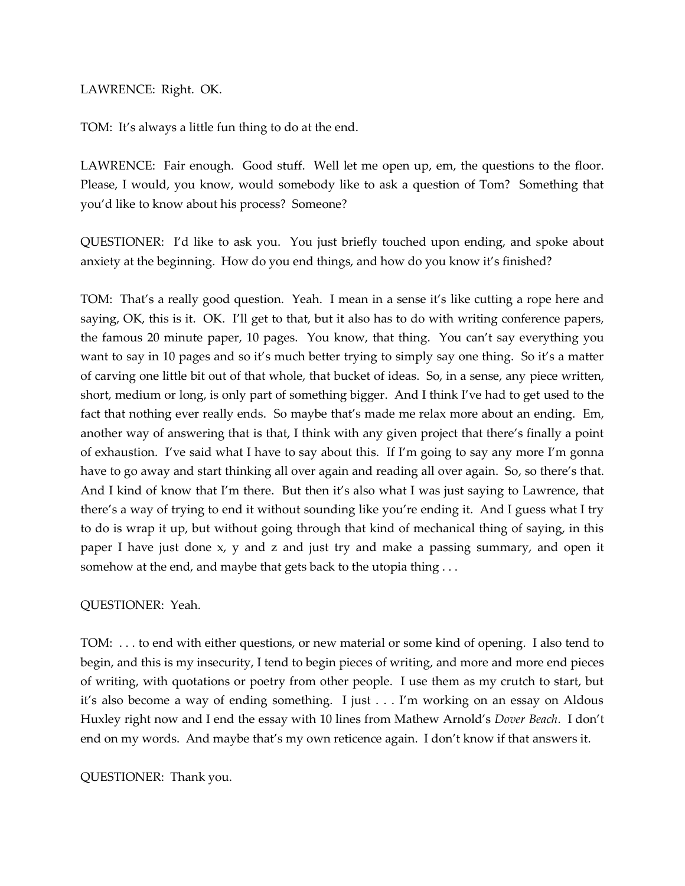LAWRENCE: Right. OK.

TOM: It's always a little fun thing to do at the end.

LAWRENCE: Fair enough. Good stuff. Well let me open up, em, the questions to the floor. Please, I would, you know, would somebody like to ask a question of Tom? Something that you'd like to know about his process? Someone?

QUESTIONER: I'd like to ask you. You just briefly touched upon ending, and spoke about anxiety at the beginning. How do you end things, and how do you know it's finished?

TOM: That's a really good question. Yeah. I mean in a sense it's like cutting a rope here and saying, OK, this is it. OK. I'll get to that, but it also has to do with writing conference papers, the famous 20 minute paper, 10 pages. You know, that thing. You can't say everything you want to say in 10 pages and so it's much better trying to simply say one thing. So it's a matter of carving one little bit out of that whole, that bucket of ideas. So, in a sense, any piece written, short, medium or long, is only part of something bigger. And I think I've had to get used to the fact that nothing ever really ends. So maybe that's made me relax more about an ending. Em, another way of answering that is that, I think with any given project that there's finally a point of exhaustion. I've said what I have to say about this. If I'm going to say any more I'm gonna have to go away and start thinking all over again and reading all over again. So, so there's that. And I kind of know that I'm there. But then it's also what I was just saying to Lawrence, that there's a way of trying to end it without sounding like you're ending it. And I guess what I try to do is wrap it up, but without going through that kind of mechanical thing of saying, in this paper I have just done x, y and z and just try and make a passing summary, and open it somehow at the end, and maybe that gets back to the utopia thing ...

QUESTIONER: Yeah.

TOM: . . . to end with either questions, or new material or some kind of opening. I also tend to begin, and this is my insecurity, I tend to begin pieces of writing, and more and more end pieces of writing, with quotations or poetry from other people. I use them as my crutch to start, but it's also become a way of ending something. I just . . . I'm working on an essay on Aldous Huxley right now and I end the essay with 10 lines from Mathew Arnold's *Dover Beach*. I don't end on my words. And maybe that's my own reticence again. I don't know if that answers it.

QUESTIONER: Thank you.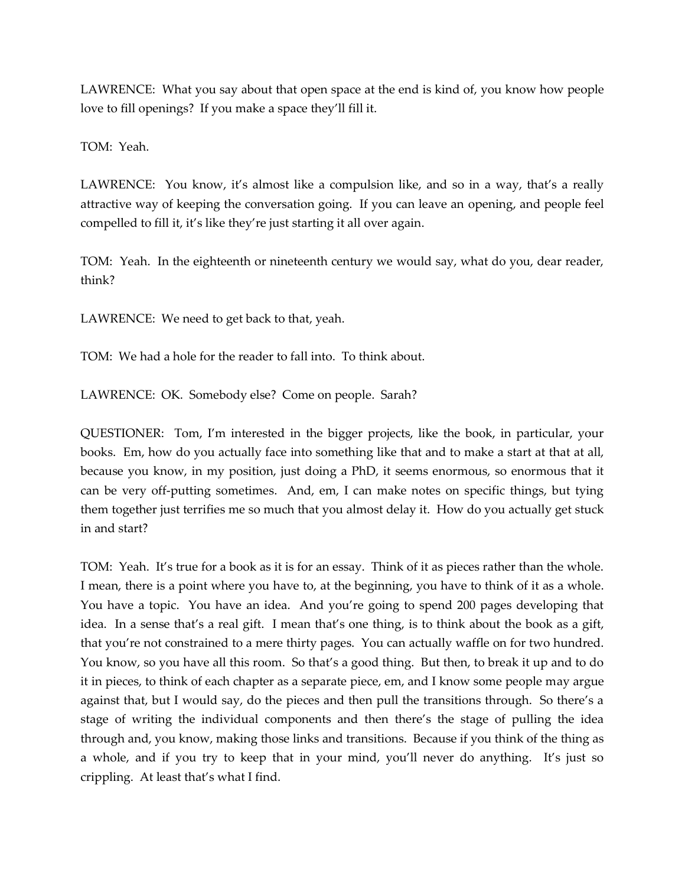LAWRENCE: What you say about that open space at the end is kind of, you know how people love to fill openings? If you make a space they'll fill it.

TOM: Yeah.

LAWRENCE: You know, it's almost like a compulsion like, and so in a way, that's a really attractive way of keeping the conversation going. If you can leave an opening, and people feel compelled to fill it, it's like they're just starting it all over again.

TOM: Yeah. In the eighteenth or nineteenth century we would say, what do you, dear reader, think?

LAWRENCE: We need to get back to that, yeah.

TOM: We had a hole for the reader to fall into. To think about.

LAWRENCE: OK. Somebody else? Come on people. Sarah?

QUESTIONER: Tom, I'm interested in the bigger projects, like the book, in particular, your books. Em, how do you actually face into something like that and to make a start at that at all, because you know, in my position, just doing a PhD, it seems enormous, so enormous that it can be very off-putting sometimes. And, em, I can make notes on specific things, but tying them together just terrifies me so much that you almost delay it. How do you actually get stuck in and start?

TOM: Yeah. It's true for a book as it is for an essay. Think of it as pieces rather than the whole. I mean, there is a point where you have to, at the beginning, you have to think of it as a whole. You have a topic. You have an idea. And you're going to spend 200 pages developing that idea. In a sense that's a real gift. I mean that's one thing, is to think about the book as a gift, that you're not constrained to a mere thirty pages. You can actually waffle on for two hundred. You know, so you have all this room. So that's a good thing. But then, to break it up and to do it in pieces, to think of each chapter as a separate piece, em, and I know some people may argue against that, but I would say, do the pieces and then pull the transitions through. So there's a stage of writing the individual components and then there's the stage of pulling the idea through and, you know, making those links and transitions. Because if you think of the thing as a whole, and if you try to keep that in your mind, you'll never do anything. It's just so crippling. At least that's what I find.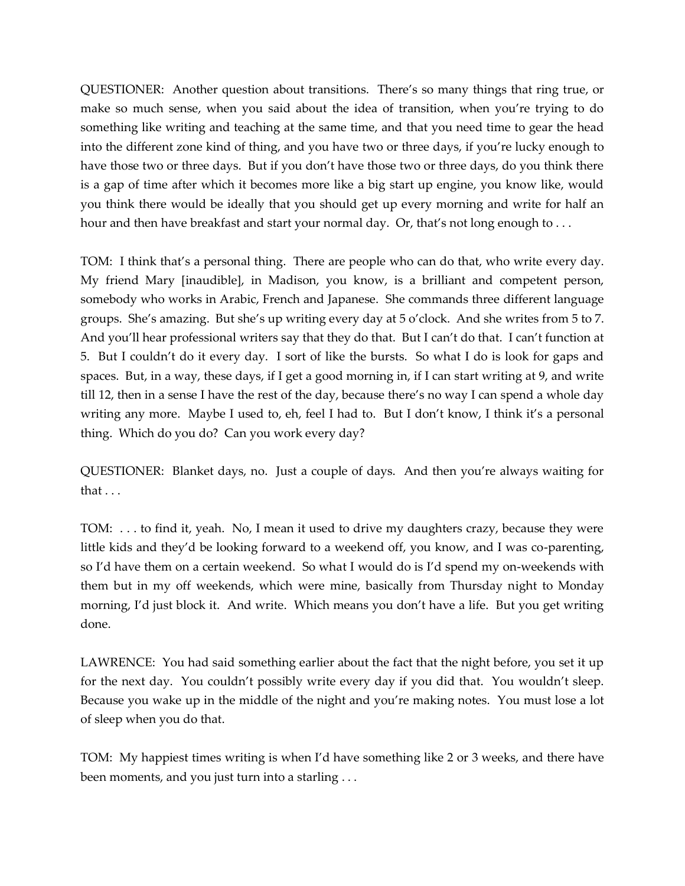QUESTIONER: Another question about transitions. There's so many things that ring true, or make so much sense, when you said about the idea of transition, when you're trying to do something like writing and teaching at the same time, and that you need time to gear the head into the different zone kind of thing, and you have two or three days, if you're lucky enough to have those two or three days. But if you don't have those two or three days, do you think there is a gap of time after which it becomes more like a big start up engine, you know like, would you think there would be ideally that you should get up every morning and write for half an hour and then have breakfast and start your normal day. Or, that's not long enough to ...

TOM: I think that's a personal thing. There are people who can do that, who write every day. My friend Mary [inaudible], in Madison, you know, is a brilliant and competent person, somebody who works in Arabic, French and Japanese. She commands three different language groups. She's amazing. But she's up writing every day at 5 o'clock. And she writes from 5 to 7. And you'll hear professional writers say that they do that. But I can't do that. I can't function at 5. But I couldn't do it every day. I sort of like the bursts. So what I do is look for gaps and spaces. But, in a way, these days, if I get a good morning in, if I can start writing at 9, and write till 12, then in a sense I have the rest of the day, because there's no way I can spend a whole day writing any more. Maybe I used to, eh, feel I had to. But I don't know, I think it's a personal thing. Which do you do? Can you work every day?

QUESTIONER: Blanket days, no. Just a couple of days. And then you're always waiting for that . . .

TOM: . . . to find it, yeah. No, I mean it used to drive my daughters crazy, because they were little kids and they'd be looking forward to a weekend off, you know, and I was co-parenting, so I'd have them on a certain weekend. So what I would do is I'd spend my on-weekends with them but in my off weekends, which were mine, basically from Thursday night to Monday morning, I'd just block it. And write. Which means you don't have a life. But you get writing done.

LAWRENCE: You had said something earlier about the fact that the night before, you set it up for the next day. You couldn't possibly write every day if you did that. You wouldn't sleep. Because you wake up in the middle of the night and you're making notes. You must lose a lot of sleep when you do that.

TOM: My happiest times writing is when I'd have something like 2 or 3 weeks, and there have been moments, and you just turn into a starling . . .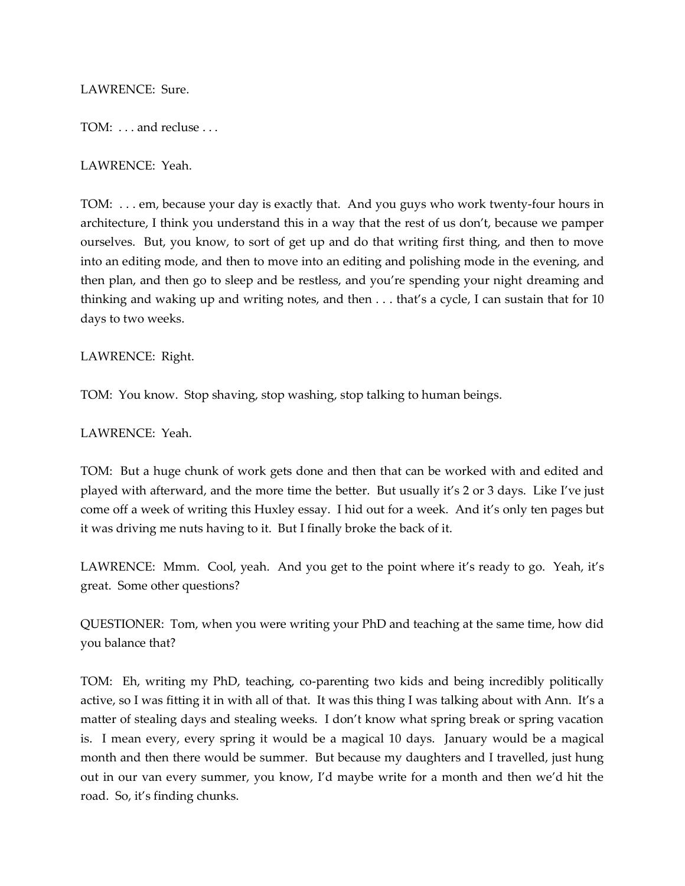LAWRENCE: Sure.

TOM: . . . and recluse . . .

LAWRENCE: Yeah.

TOM: . . . em, because your day is exactly that. And you guys who work twenty-four hours in architecture, I think you understand this in a way that the rest of us don't, because we pamper ourselves. But, you know, to sort of get up and do that writing first thing, and then to move into an editing mode, and then to move into an editing and polishing mode in the evening, and then plan, and then go to sleep and be restless, and you're spending your night dreaming and thinking and waking up and writing notes, and then . . . that's a cycle, I can sustain that for 10 days to two weeks.

LAWRENCE: Right.

TOM: You know. Stop shaving, stop washing, stop talking to human beings.

LAWRENCE: Yeah.

TOM: But a huge chunk of work gets done and then that can be worked with and edited and played with afterward, and the more time the better. But usually it's 2 or 3 days. Like I've just come off a week of writing this Huxley essay. I hid out for a week. And it's only ten pages but it was driving me nuts having to it. But I finally broke the back of it.

LAWRENCE: Mmm. Cool, yeah. And you get to the point where it's ready to go. Yeah, it's great. Some other questions?

QUESTIONER: Tom, when you were writing your PhD and teaching at the same time, how did you balance that?

TOM: Eh, writing my PhD, teaching, co-parenting two kids and being incredibly politically active, so I was fitting it in with all of that. It was this thing I was talking about with Ann. It's a matter of stealing days and stealing weeks. I don't know what spring break or spring vacation is. I mean every, every spring it would be a magical 10 days. January would be a magical month and then there would be summer. But because my daughters and I travelled, just hung out in our van every summer, you know, I'd maybe write for a month and then we'd hit the road. So, it's finding chunks.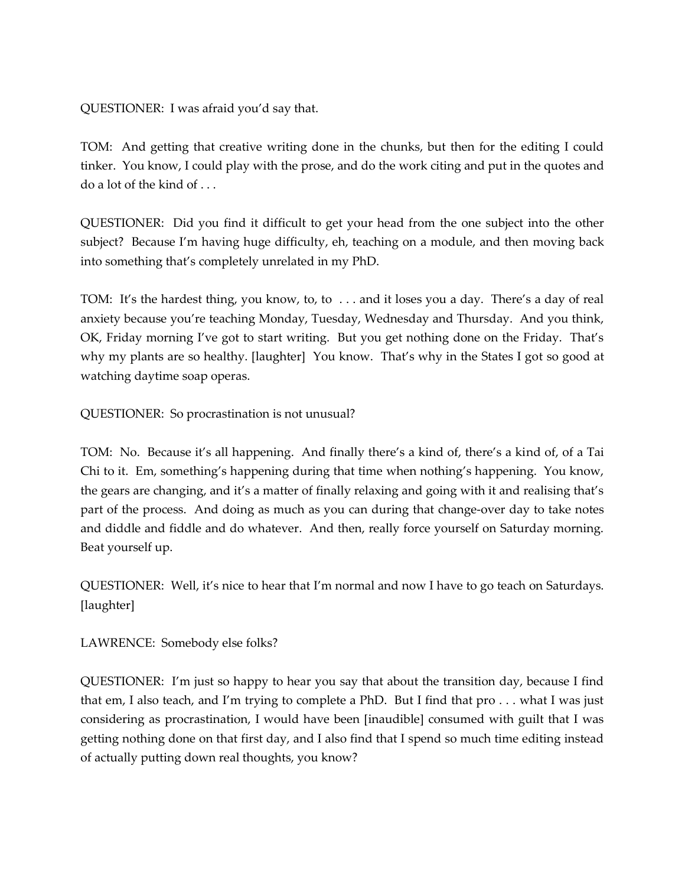QUESTIONER: I was afraid you'd say that.

TOM: And getting that creative writing done in the chunks, but then for the editing I could tinker. You know, I could play with the prose, and do the work citing and put in the quotes and do a lot of the kind of . . .

QUESTIONER: Did you find it difficult to get your head from the one subject into the other subject? Because I'm having huge difficulty, eh, teaching on a module, and then moving back into something that's completely unrelated in my PhD.

TOM: It's the hardest thing, you know, to, to . . . and it loses you a day. There's a day of real anxiety because you're teaching Monday, Tuesday, Wednesday and Thursday. And you think, OK, Friday morning I've got to start writing. But you get nothing done on the Friday. That's why my plants are so healthy. [laughter] You know. That's why in the States I got so good at watching daytime soap operas.

QUESTIONER: So procrastination is not unusual?

TOM: No. Because it's all happening. And finally there's a kind of, there's a kind of, of a Tai Chi to it. Em, something's happening during that time when nothing's happening. You know, the gears are changing, and it's a matter of finally relaxing and going with it and realising that's part of the process. And doing as much as you can during that change-over day to take notes and diddle and fiddle and do whatever. And then, really force yourself on Saturday morning. Beat yourself up.

QUESTIONER: Well, it's nice to hear that I'm normal and now I have to go teach on Saturdays. [laughter]

LAWRENCE: Somebody else folks?

QUESTIONER: I'm just so happy to hear you say that about the transition day, because I find that em, I also teach, and I'm trying to complete a PhD. But I find that pro . . . what I was just considering as procrastination, I would have been [inaudible] consumed with guilt that I was getting nothing done on that first day, and I also find that I spend so much time editing instead of actually putting down real thoughts, you know?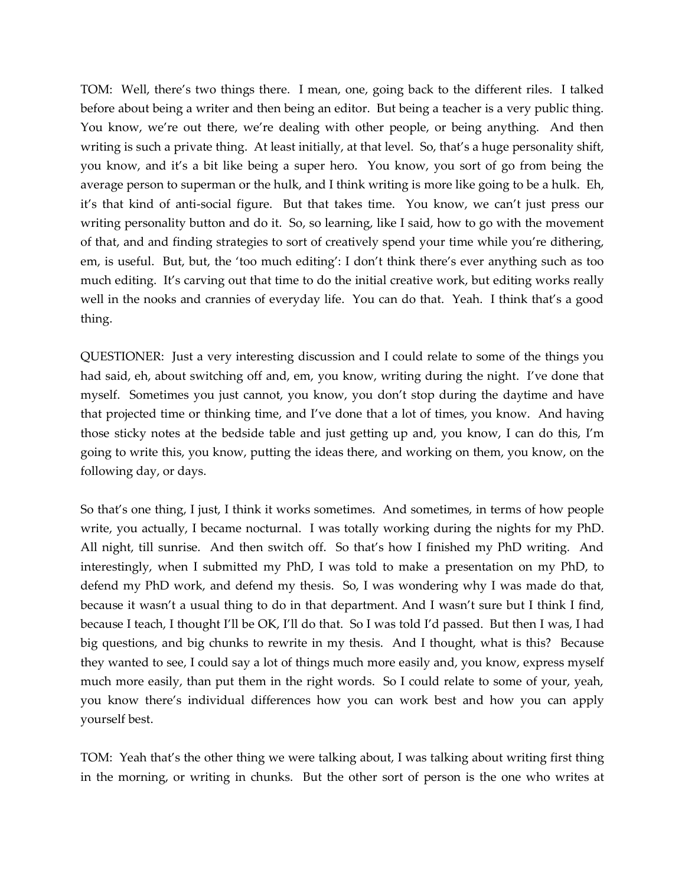TOM: Well, there's two things there. I mean, one, going back to the different riles. I talked before about being a writer and then being an editor. But being a teacher is a very public thing. You know, we're out there, we're dealing with other people, or being anything. And then writing is such a private thing. At least initially, at that level. So, that's a huge personality shift, you know, and it's a bit like being a super hero. You know, you sort of go from being the average person to superman or the hulk, and I think writing is more like going to be a hulk. Eh, it's that kind of anti-social figure. But that takes time. You know, we can't just press our writing personality button and do it. So, so learning, like I said, how to go with the movement of that, and and finding strategies to sort of creatively spend your time while you're dithering, em, is useful. But, but, the 'too much editing': I don't think there's ever anything such as too much editing. It's carving out that time to do the initial creative work, but editing works really well in the nooks and crannies of everyday life. You can do that. Yeah. I think that's a good thing.

QUESTIONER: Just a very interesting discussion and I could relate to some of the things you had said, eh, about switching off and, em, you know, writing during the night. I've done that myself. Sometimes you just cannot, you know, you don't stop during the daytime and have that projected time or thinking time, and I've done that a lot of times, you know. And having those sticky notes at the bedside table and just getting up and, you know, I can do this, I'm going to write this, you know, putting the ideas there, and working on them, you know, on the following day, or days.

So that's one thing, I just, I think it works sometimes. And sometimes, in terms of how people write, you actually, I became nocturnal. I was totally working during the nights for my PhD. All night, till sunrise. And then switch off. So that's how I finished my PhD writing. And interestingly, when I submitted my PhD, I was told to make a presentation on my PhD, to defend my PhD work, and defend my thesis. So, I was wondering why I was made do that, because it wasn't a usual thing to do in that department. And I wasn't sure but I think I find, because I teach, I thought I'll be OK, I'll do that. So I was told I'd passed. But then I was, I had big questions, and big chunks to rewrite in my thesis. And I thought, what is this? Because they wanted to see, I could say a lot of things much more easily and, you know, express myself much more easily, than put them in the right words. So I could relate to some of your, yeah, you know there's individual differences how you can work best and how you can apply yourself best.

TOM: Yeah that's the other thing we were talking about, I was talking about writing first thing in the morning, or writing in chunks. But the other sort of person is the one who writes at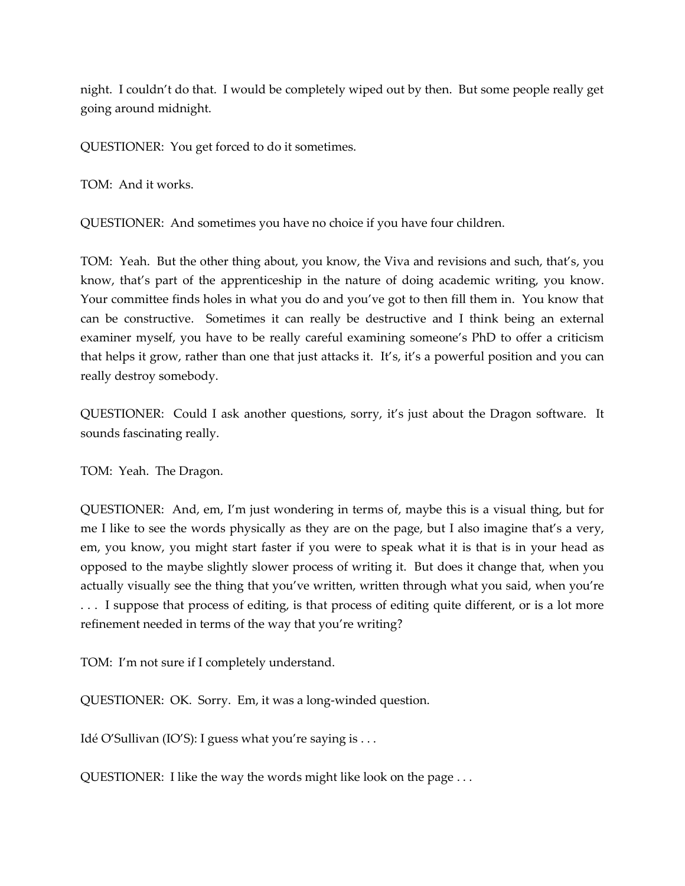night. I couldn't do that. I would be completely wiped out by then. But some people really get going around midnight.

QUESTIONER: You get forced to do it sometimes.

TOM: And it works.

QUESTIONER: And sometimes you have no choice if you have four children.

TOM: Yeah. But the other thing about, you know, the Viva and revisions and such, that's, you know, that's part of the apprenticeship in the nature of doing academic writing, you know. Your committee finds holes in what you do and you've got to then fill them in. You know that can be constructive. Sometimes it can really be destructive and I think being an external examiner myself, you have to be really careful examining someone's PhD to offer a criticism that helps it grow, rather than one that just attacks it. It's, it's a powerful position and you can really destroy somebody.

QUESTIONER: Could I ask another questions, sorry, it's just about the Dragon software. It sounds fascinating really.

TOM: Yeah. The Dragon.

QUESTIONER: And, em, I'm just wondering in terms of, maybe this is a visual thing, but for me I like to see the words physically as they are on the page, but I also imagine that's a very, em, you know, you might start faster if you were to speak what it is that is in your head as opposed to the maybe slightly slower process of writing it. But does it change that, when you actually visually see the thing that you've written, written through what you said, when you're . . . I suppose that process of editing, is that process of editing quite different, or is a lot more refinement needed in terms of the way that you're writing?

TOM: I'm not sure if I completely understand.

QUESTIONER: OK. Sorry. Em, it was a long-winded question.

Idé O'Sullivan (IO'S): I guess what you're saying is . . .

QUESTIONER: I like the way the words might like look on the page . . .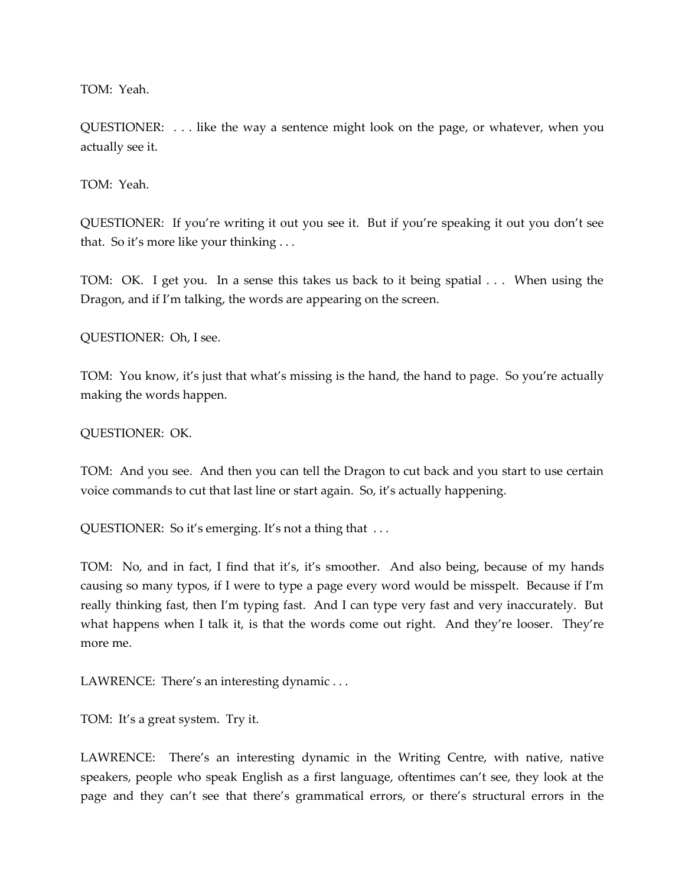TOM: Yeah.

QUESTIONER: . . . like the way a sentence might look on the page, or whatever, when you actually see it.

TOM: Yeah.

QUESTIONER: If you're writing it out you see it. But if you're speaking it out you don't see that. So it's more like your thinking . . .

TOM: OK. I get you. In a sense this takes us back to it being spatial . . . When using the Dragon, and if I'm talking, the words are appearing on the screen.

QUESTIONER: Oh, I see.

TOM: You know, it's just that what's missing is the hand, the hand to page. So you're actually making the words happen.

QUESTIONER: OK.

TOM: And you see. And then you can tell the Dragon to cut back and you start to use certain voice commands to cut that last line or start again. So, it's actually happening.

QUESTIONER: So it's emerging. It's not a thing that . . .

TOM: No, and in fact, I find that it's, it's smoother. And also being, because of my hands causing so many typos, if I were to type a page every word would be misspelt. Because if I'm really thinking fast, then I'm typing fast. And I can type very fast and very inaccurately. But what happens when I talk it, is that the words come out right. And they're looser. They're more me.

LAWRENCE: There's an interesting dynamic . . .

TOM: It's a great system. Try it.

LAWRENCE: There's an interesting dynamic in the Writing Centre, with native, native speakers, people who speak English as a first language, oftentimes can't see, they look at the page and they can't see that there's grammatical errors, or there's structural errors in the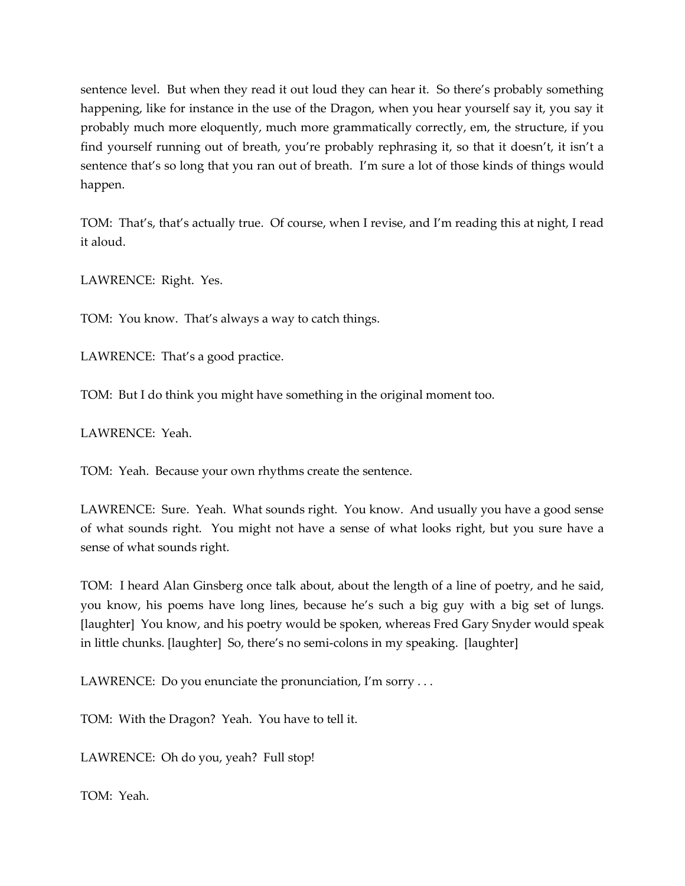sentence level. But when they read it out loud they can hear it. So there's probably something happening, like for instance in the use of the Dragon, when you hear yourself say it, you say it probably much more eloquently, much more grammatically correctly, em, the structure, if you find yourself running out of breath, you're probably rephrasing it, so that it doesn't, it isn't a sentence that's so long that you ran out of breath. I'm sure a lot of those kinds of things would happen.

TOM: That's, that's actually true. Of course, when I revise, and I'm reading this at night, I read it aloud.

LAWRENCE: Right. Yes.

TOM: You know. That's always a way to catch things.

LAWRENCE: That's a good practice.

TOM: But I do think you might have something in the original moment too.

LAWRENCE: Yeah.

TOM: Yeah. Because your own rhythms create the sentence.

LAWRENCE: Sure. Yeah. What sounds right. You know. And usually you have a good sense of what sounds right. You might not have a sense of what looks right, but you sure have a sense of what sounds right.

TOM: I heard Alan Ginsberg once talk about, about the length of a line of poetry, and he said, you know, his poems have long lines, because he's such a big guy with a big set of lungs. [laughter] You know, and his poetry would be spoken, whereas Fred Gary Snyder would speak in little chunks. [laughter] So, there's no semi-colons in my speaking. [laughter]

LAWRENCE: Do you enunciate the pronunciation, I'm sorry ...

TOM: With the Dragon? Yeah. You have to tell it.

LAWRENCE: Oh do you, yeah? Full stop!

TOM: Yeah.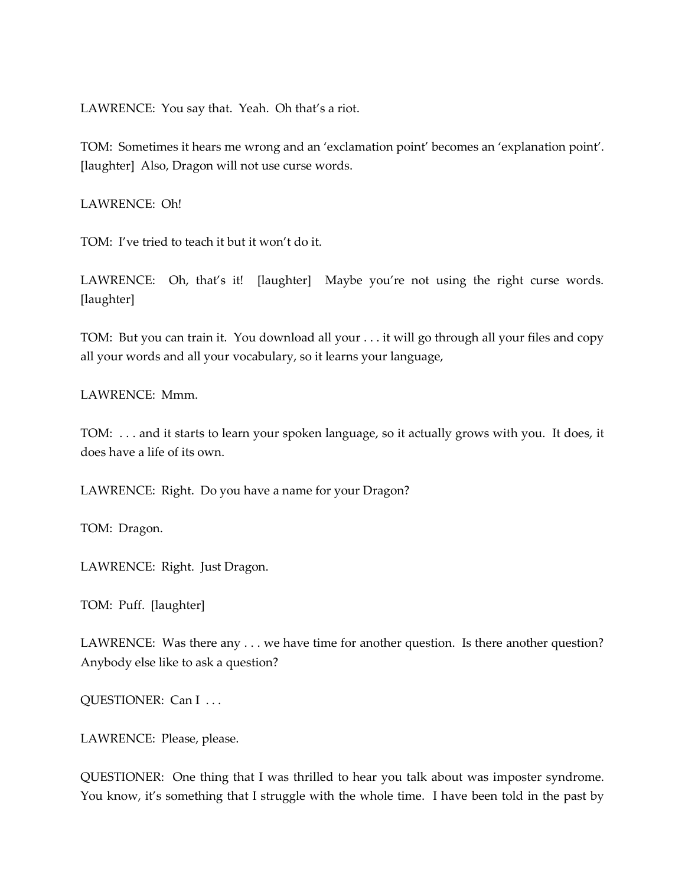LAWRENCE: You say that. Yeah. Oh that's a riot.

TOM: Sometimes it hears me wrong and an 'exclamation point' becomes an 'explanation point'. [laughter] Also, Dragon will not use curse words.

LAWRENCE: Oh!

TOM: I've tried to teach it but it won't do it.

LAWRENCE: Oh, that's it! [laughter] Maybe you're not using the right curse words. [laughter]

TOM: But you can train it. You download all your . . . it will go through all your files and copy all your words and all your vocabulary, so it learns your language,

LAWRENCE: Mmm.

TOM: . . . and it starts to learn your spoken language, so it actually grows with you. It does, it does have a life of its own.

LAWRENCE: Right. Do you have a name for your Dragon?

TOM: Dragon.

LAWRENCE: Right. Just Dragon.

TOM: Puff. [laughter]

LAWRENCE: Was there any . . . we have time for another question. Is there another question? Anybody else like to ask a question?

QUESTIONER: Can I ...

LAWRENCE: Please, please.

QUESTIONER: One thing that I was thrilled to hear you talk about was imposter syndrome. You know, it's something that I struggle with the whole time. I have been told in the past by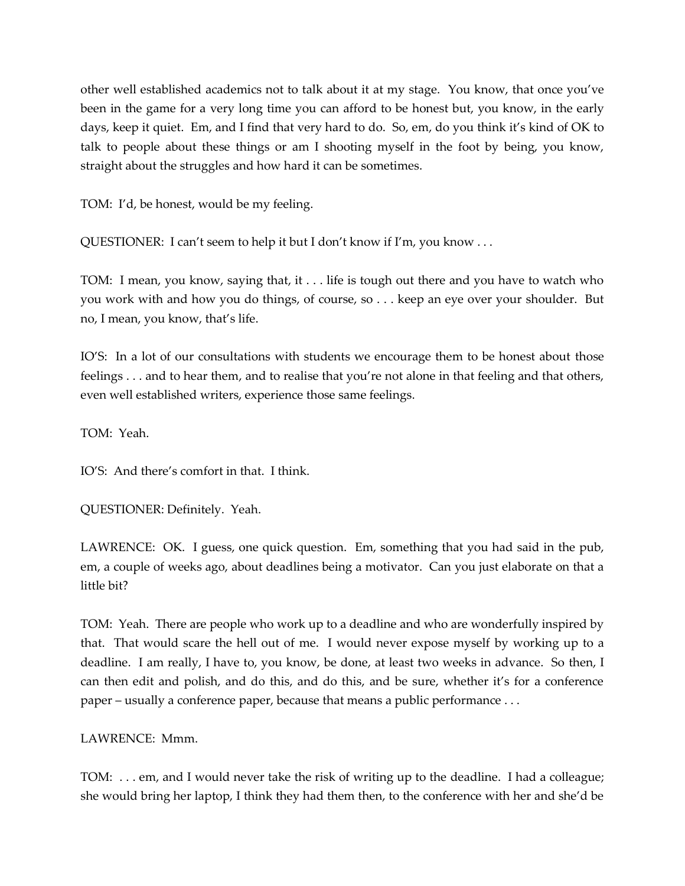other well established academics not to talk about it at my stage. You know, that once you've been in the game for a very long time you can afford to be honest but, you know, in the early days, keep it quiet. Em, and I find that very hard to do. So, em, do you think it's kind of OK to talk to people about these things or am I shooting myself in the foot by being, you know, straight about the struggles and how hard it can be sometimes.

TOM: I'd, be honest, would be my feeling.

QUESTIONER: I can't seem to help it but I don't know if I'm, you know . . .

TOM: I mean, you know, saying that, it . . . life is tough out there and you have to watch who you work with and how you do things, of course, so . . . keep an eye over your shoulder. But no, I mean, you know, that's life.

IO'S: In a lot of our consultations with students we encourage them to be honest about those feelings . . . and to hear them, and to realise that you're not alone in that feeling and that others, even well established writers, experience those same feelings.

TOM: Yeah.

IO'S: And there's comfort in that. I think.

QUESTIONER: Definitely. Yeah.

LAWRENCE: OK. I guess, one quick question. Em, something that you had said in the pub, em, a couple of weeks ago, about deadlines being a motivator. Can you just elaborate on that a little bit?

TOM: Yeah. There are people who work up to a deadline and who are wonderfully inspired by that. That would scare the hell out of me. I would never expose myself by working up to a deadline. I am really, I have to, you know, be done, at least two weeks in advance. So then, I can then edit and polish, and do this, and do this, and be sure, whether it's for a conference paper – usually a conference paper, because that means a public performance . . .

LAWRENCE: Mmm.

TOM: . . . em, and I would never take the risk of writing up to the deadline. I had a colleague; she would bring her laptop, I think they had them then, to the conference with her and she'd be